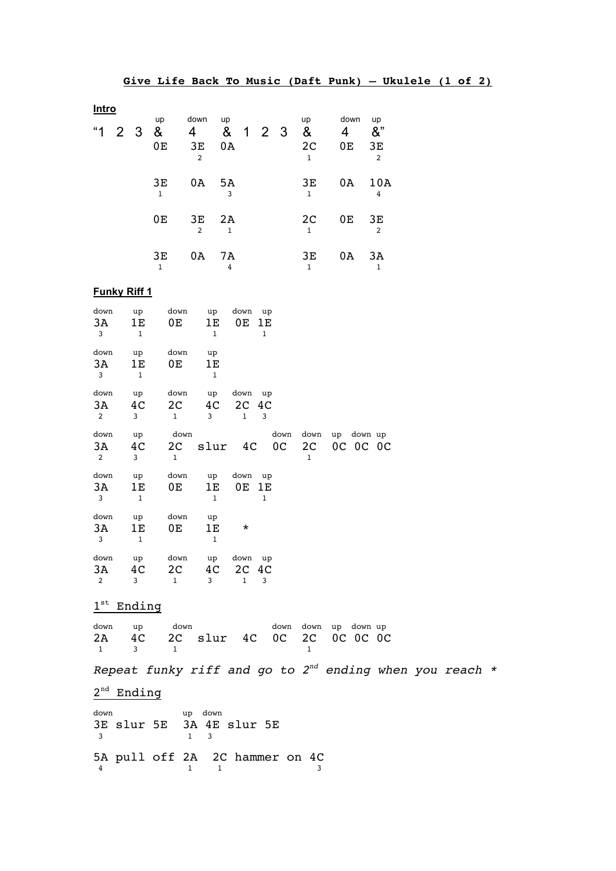|              |                     |                |                    |                      |                    |      |    |                                |                | Give Life Back To Music (Daft Punk) - Ukulele (1 of 2) |  |  |
|--------------|---------------------|----------------|--------------------|----------------------|--------------------|------|----|--------------------------------|----------------|--------------------------------------------------------|--|--|
| <b>Intro</b> |                     |                |                    | down                 |                    |      |    |                                | down           |                                                        |  |  |
| "1           |                     | 2 <sub>3</sub> | up<br>&            | 4 <sup>1</sup>       | up<br>& 1 2 3      |      |    | up<br>&                        | 4              | up<br>8"                                               |  |  |
|              |                     |                | 0E                 | 3E<br>$\overline{2}$ | 0A                 |      |    | 2 <sub>C</sub><br>$\mathbf{1}$ | 0 <sub>E</sub> | ЗE<br>$\overline{2}$                                   |  |  |
|              |                     |                | 3Е<br>$\mathbf{1}$ | 0A 5A                | 3                  |      |    | 3Е<br>$\mathbf{1}$             | 0A -           | 10A<br>4                                               |  |  |
|              |                     |                | 0E                 | 3E<br>$\overline{2}$ | 2A<br>$\mathbf{1}$ |      |    | 2 <sub>C</sub><br>$\mathbf{1}$ | 0E             | 3E<br>$\mathfrak{D}$                                   |  |  |
|              |                     |                | 3Е<br>$\mathbf{1}$ | 0A                   | 7A<br>4            |      |    | 3E<br>$\mathbf{1}$             | 0A             | 3A<br>$\mathbf 1$                                      |  |  |
|              | <b>Funky Riff 1</b> |                |                    |                      |                    |      |    |                                |                |                                                        |  |  |
| down         |                     | up             | down               | up                   |                    | down | up |                                |                |                                                        |  |  |

| uowii<br>3A<br>3             | uμ<br>1E<br>$\mathbf{1}$ | uowii<br>0E                           | uμ<br>1E<br>$\mathbf{1}$ | <b>UOWII</b><br>0E 1E               | u µ<br>$\mathbf{1}$    |                            |                        |  |
|------------------------------|--------------------------|---------------------------------------|--------------------------|-------------------------------------|------------------------|----------------------------|------------------------|--|
| down<br>3A<br>$\mathbf{3}$   | up<br>1E<br>$\mathbf{1}$ | down<br>0E                            | up<br>1E<br>$\mathbf{1}$ |                                     |                        |                            |                        |  |
| down<br>3A<br>2              | up<br>4C<br>3            | down<br>2C<br>$\mathbf{1}$            | up<br>3                  | down up<br>4C 2C 4C<br>$\mathbf{1}$ | 3                      |                            |                        |  |
| down<br>3A<br>2              | up<br>4C<br>3            | down<br>$\mathbf{1}$                  | 2C slur 4C               |                                     | down<br>0 <sup>C</sup> | down<br>2C<br>$\mathbf{1}$ | up down up<br>OC OC OC |  |
| down<br>3A<br>$\mathbf{3}$   | up<br>1E<br>$\mathbf 1$  | down<br>0E                            | up<br>1E<br>$\mathbf{1}$ | down up<br>0E                       | 1E<br>$\mathbf{1}$     |                            |                        |  |
| down<br>3A<br>3              | up<br>1E<br>$\mathbf{1}$ | down<br>0Е.                           | up<br>1Е<br>$\mathbf{1}$ | $^\star$                            |                        |                            |                        |  |
| down<br>3A<br>$\overline{c}$ | up<br>4C<br>3            | down<br>2 <sup>C</sup><br>$\mathbf 1$ | up<br>4C<br>3            | down up<br>2C 4C<br>$\mathbf{1}$    | 3                      |                            |                        |  |

 $1<sup>st</sup>$  Ending

|       | down up down |                                 |  |  | down down up down up |  |
|-------|--------------|---------------------------------|--|--|----------------------|--|
|       |              | 2A 4C 2C slur 4C 0C 2C 0C 0C 0C |  |  |                      |  |
| 1 3 1 |              |                                 |  |  |                      |  |

*Repeat funky riff and go to 2nd ending when you reach \**

 $2<sup>nd</sup>$  Ending

| down<br>- 3 | 3E slur 5E 3A 4E slur 5E       |  | up down |  |  |
|-------------|--------------------------------|--|---------|--|--|
|             | 5A pull off 2A 2C hammer on 4C |  |         |  |  |